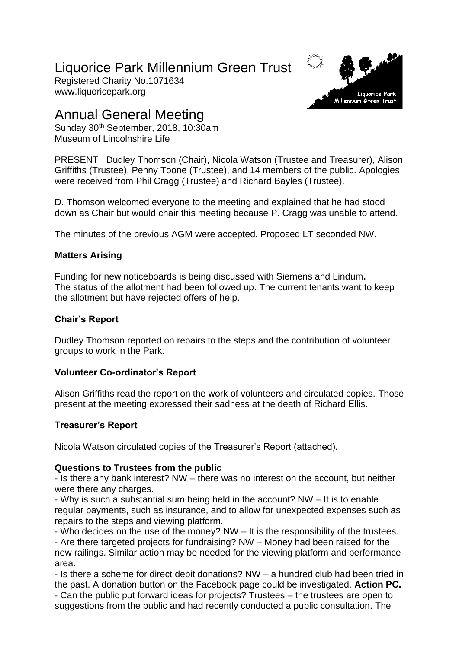# Liquorice Park Millennium Green Trust

Registered Charity No.1071634 www.liquoricepark.org



## Annual General Meeting

Sunday 30<sup>th</sup> September, 2018, 10:30am Museum of Lincolnshire Life

PRESENT Dudley Thomson (Chair), Nicola Watson (Trustee and Treasurer), Alison Griffiths (Trustee), Penny Toone (Trustee), and 14 members of the public. Apologies were received from Phil Cragg (Trustee) and Richard Bayles (Trustee).

D. Thomson welcomed everyone to the meeting and explained that he had stood down as Chair but would chair this meeting because P. Cragg was unable to attend.

The minutes of the previous AGM were accepted. Proposed LT seconded NW.

## **Matters Arising**

Funding for new noticeboards is being discussed with Siemens and Lindum**.** The status of the allotment had been followed up. The current tenants want to keep the allotment but have rejected offers of help.

## **Chair's Report**

Dudley Thomson reported on repairs to the steps and the contribution of volunteer groups to work in the Park.

## **Volunteer Co-ordinator's Report**

Alison Griffiths read the report on the work of volunteers and circulated copies. Those present at the meeting expressed their sadness at the death of Richard Ellis.

## **Treasurer's Report**

Nicola Watson circulated copies of the Treasurer's Report (attached).

## **Questions to Trustees from the public**

- Is there any bank interest? NW – there was no interest on the account, but neither were there any charges.

- Why is such a substantial sum being held in the account? NW – It is to enable regular payments, such as insurance, and to allow for unexpected expenses such as repairs to the steps and viewing platform.

- Who decides on the use of the money? NW – It is the responsibility of the trustees. - Are there targeted projects for fundraising? NW – Money had been raised for the new railings. Similar action may be needed for the viewing platform and performance area.

- Is there a scheme for direct debit donations? NW – a hundred club had been tried in the past. A donation button on the Facebook page could be investigated. **Action PC.**

- Can the public put forward ideas for projects? Trustees – the trustees are open to suggestions from the public and had recently conducted a public consultation. The